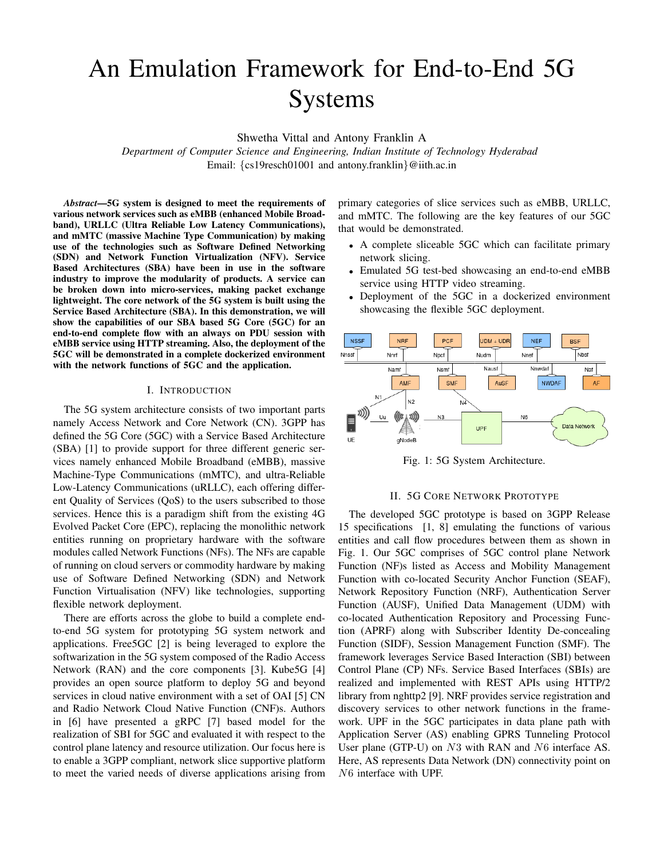# An Emulation Framework for End-to-End 5G Systems

Shwetha Vittal and Antony Franklin A

*Department of Computer Science and Engineering, Indian Institute of Technology Hyderabad* Email: {cs19resch01001 and antony.franklin}@iith.ac.in

*Abstract*—5G system is designed to meet the requirements of various network services such as eMBB (enhanced Mobile Broadband), URLLC (Ultra Reliable Low Latency Communications), and mMTC (massive Machine Type Communication) by making use of the technologies such as Software Defined Networking (SDN) and Network Function Virtualization (NFV). Service Based Architectures (SBA) have been in use in the software industry to improve the modularity of products. A service can be broken down into micro-services, making packet exchange lightweight. The core network of the 5G system is built using the Service Based Architecture (SBA). In this demonstration, we will show the capabilities of our SBA based 5G Core (5GC) for an end-to-end complete flow with an always on PDU session with eMBB service using HTTP streaming. Also, the deployment of the 5GC will be demonstrated in a complete dockerized environment with the network functions of 5GC and the application.

#### I. INTRODUCTION

The 5G system architecture consists of two important parts namely Access Network and Core Network (CN). 3GPP has defined the 5G Core (5GC) with a Service Based Architecture (SBA) [1] to provide support for three different generic services namely enhanced Mobile Broadband (eMBB), massive Machine-Type Communications (mMTC), and ultra-Reliable Low-Latency Communications (uRLLC), each offering different Quality of Services (QoS) to the users subscribed to those services. Hence this is a paradigm shift from the existing 4G Evolved Packet Core (EPC), replacing the monolithic network entities running on proprietary hardware with the software modules called Network Functions (NFs). The NFs are capable of running on cloud servers or commodity hardware by making use of Software Defined Networking (SDN) and Network Function Virtualisation (NFV) like technologies, supporting flexible network deployment.

There are efforts across the globe to build a complete endto-end 5G system for prototyping 5G system network and applications. Free5GC [2] is being leveraged to explore the softwarization in the 5G system composed of the Radio Access Network (RAN) and the core components [3]. Kube5G [4] provides an open source platform to deploy 5G and beyond services in cloud native environment with a set of OAI [5] CN and Radio Network Cloud Native Function (CNF)s. Authors in [6] have presented a gRPC [7] based model for the realization of SBI for 5GC and evaluated it with respect to the control plane latency and resource utilization. Our focus here is to enable a 3GPP compliant, network slice supportive platform to meet the varied needs of diverse applications arising from primary categories of slice services such as eMBB, URLLC, and mMTC. The following are the key features of our 5GC that would be demonstrated.

- A complete sliceable 5GC which can facilitate primary network slicing.
- Emulated 5G test-bed showcasing an end-to-end eMBB service using HTTP video streaming.
- Deployment of the 5GC in a dockerized environment showcasing the flexible 5GC deployment.



Fig. 1: 5G System Architecture.

### II. 5G CORE NETWORK PROTOTYPE

The developed 5GC prototype is based on 3GPP Release 15 specifications [1, 8] emulating the functions of various entities and call flow procedures between them as shown in Fig. 1. Our 5GC comprises of 5GC control plane Network Function (NF)s listed as Access and Mobility Management Function with co-located Security Anchor Function (SEAF), Network Repository Function (NRF), Authentication Server Function (AUSF), Unified Data Management (UDM) with co-located Authentication Repository and Processing Function (APRF) along with Subscriber Identity De-concealing Function (SIDF), Session Management Function (SMF). The framework leverages Service Based Interaction (SBI) between Control Plane (CP) NFs. Service Based Interfaces (SBIs) are realized and implemented with REST APIs using HTTP/2 library from nghttp2 [9]. NRF provides service registration and discovery services to other network functions in the framework. UPF in the 5GC participates in data plane path with Application Server (AS) enabling GPRS Tunneling Protocol User plane (GTP-U) on  $N3$  with RAN and  $N6$  interface AS. Here, AS represents Data Network (DN) connectivity point on N6 interface with UPF.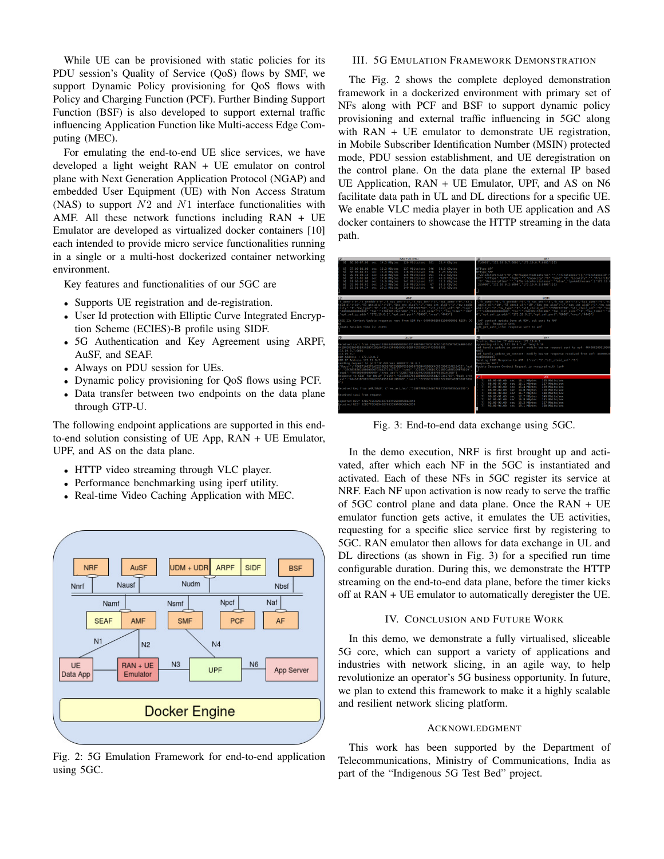While UE can be provisioned with static policies for its PDU session's Quality of Service (QoS) flows by SMF, we support Dynamic Policy provisioning for QoS flows with Policy and Charging Function (PCF). Further Binding Support Function (BSF) is also developed to support external traffic influencing Application Function like Multi-access Edge Computing (MEC).

For emulating the end-to-end UE slice services, we have developed a light weight RAN + UE emulator on control plane with Next Generation Application Protocol (NGAP) and embedded User Equipment (UE) with Non Access Stratum (NAS) to support  $N2$  and  $N1$  interface functionalities with AMF. All these network functions including RAN + UE Emulator are developed as virtualized docker containers [10] each intended to provide micro service functionalities running in a single or a multi-host dockerized container networking environment.

Key features and functionalities of our 5GC are

- Supports UE registration and de-registration.
- User Id protection with Elliptic Curve Integrated Encryption Scheme (ECIES)-B profile using SIDF.
- 5G Authentication and Key Agreement using ARPF, AuSF, and SEAF.
- Always on PDU session for UEs.
- Dynamic policy provisioning for QoS flows using PCF.
- Data transfer between two endpoints on the data plane through GTP-U.

The following endpoint applications are supported in this endto-end solution consisting of UE App, RAN + UE Emulator, UPF, and AS on the data plane.

- HTTP video streaming through VLC player.
- Performance benchmarking using iperf utility.
- Real-time Video Caching Application with MEC.



Fig. 2: 5G Emulation Framework for end-to-end application using 5GC.

#### III. 5G EMULATION FRAMEWORK DEMONSTRATION

The Fig. 2 shows the complete deployed demonstration framework in a dockerized environment with primary set of NFs along with PCF and BSF to support dynamic policy provisioning and external traffic influencing in 5GC along with RAN + UE emulator to demonstrate UE registration, in Mobile Subscriber Identification Number (MSIN) protected mode, PDU session establishment, and UE deregistration on the control plane. On the data plane the external IP based UE Application, RAN + UE Emulator, UPF, and AS on N6 facilitate data path in UL and DL directions for a specific UE. We enable VLC media player in both UE application and AS docker containers to showcase the HTTP streaming in the data path.



Fig. 3: End-to-end data exchange using 5GC.

In the demo execution, NRF is first brought up and activated, after which each NF in the 5GC is instantiated and activated. Each of these NFs in 5GC register its service at NRF. Each NF upon activation is now ready to serve the traffic of 5GC control plane and data plane. Once the RAN + UE emulator function gets active, it emulates the UE activities, requesting for a specific slice service first by registering to 5GC. RAN emulator then allows for data exchange in UL and DL directions (as shown in Fig. 3) for a specified run time configurable duration. During this, we demonstrate the HTTP streaming on the end-to-end data plane, before the timer kicks off at RAN + UE emulator to automatically deregister the UE.

#### IV. CONCLUSION AND FUTURE WORK

In this demo, we demonstrate a fully virtualised, sliceable 5G core, which can support a variety of applications and industries with network slicing, in an agile way, to help revolutionize an operator's 5G business opportunity. In future, we plan to extend this framework to make it a highly scalable and resilient network slicing platform.

#### ACKNOWLEDGMENT

This work has been supported by the Department of Telecommunications, Ministry of Communications, India as part of the "Indigenous 5G Test Bed" project.